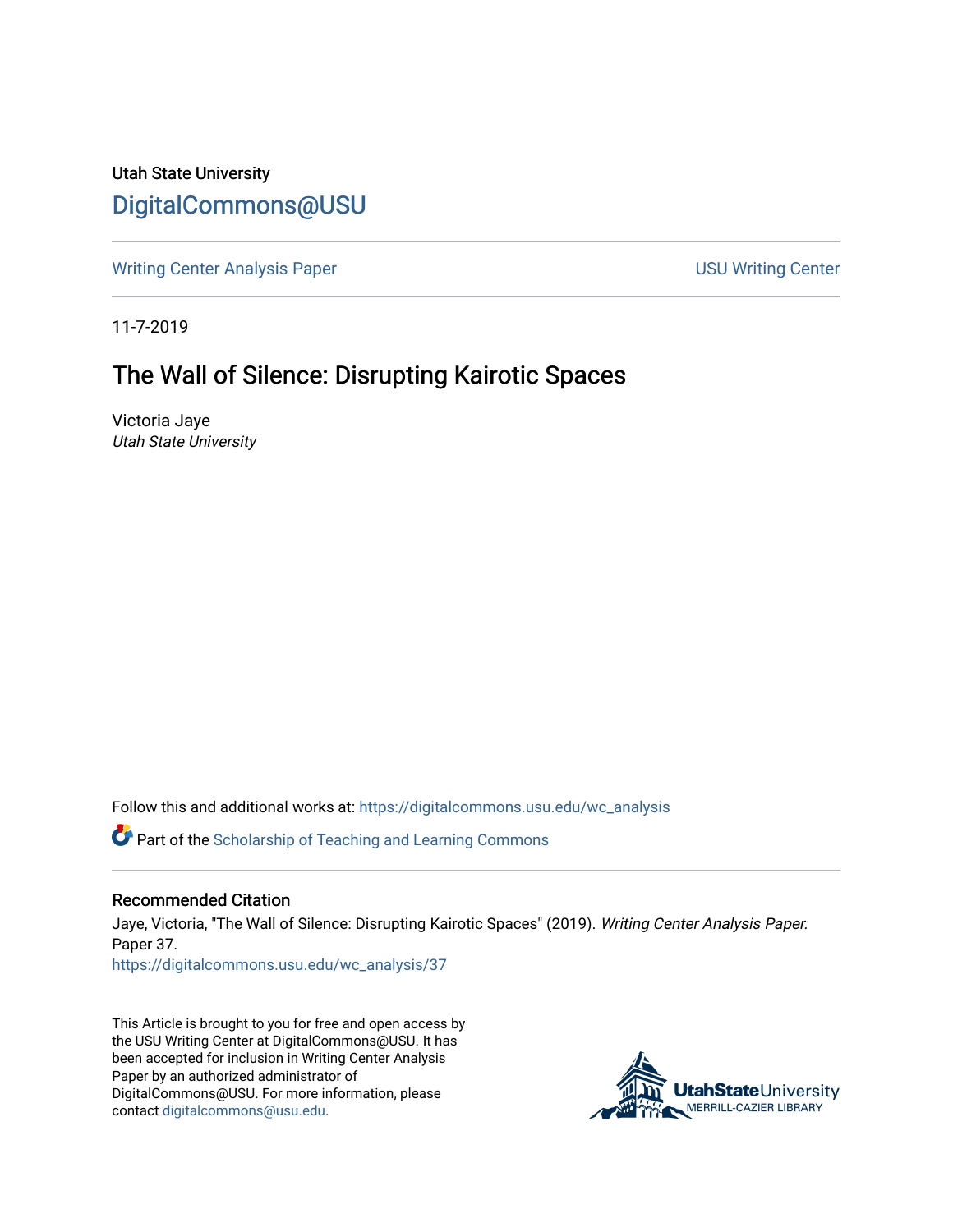Utah State University [DigitalCommons@USU](https://digitalcommons.usu.edu/)

[Writing Center Analysis Paper](https://digitalcommons.usu.edu/wc_analysis) National Communication of the USU Writing Center

11-7-2019

# The Wall of Silence: Disrupting Kairotic Spaces

Victoria Jaye Utah State University

Follow this and additional works at: [https://digitalcommons.usu.edu/wc\\_analysis](https://digitalcommons.usu.edu/wc_analysis?utm_source=digitalcommons.usu.edu%2Fwc_analysis%2F37&utm_medium=PDF&utm_campaign=PDFCoverPages) 

Part of the [Scholarship of Teaching and Learning Commons](http://network.bepress.com/hgg/discipline/1328?utm_source=digitalcommons.usu.edu%2Fwc_analysis%2F37&utm_medium=PDF&utm_campaign=PDFCoverPages) 

#### Recommended Citation

Jaye, Victoria, "The Wall of Silence: Disrupting Kairotic Spaces" (2019). Writing Center Analysis Paper. Paper 37.

[https://digitalcommons.usu.edu/wc\\_analysis/37](https://digitalcommons.usu.edu/wc_analysis/37?utm_source=digitalcommons.usu.edu%2Fwc_analysis%2F37&utm_medium=PDF&utm_campaign=PDFCoverPages)

This Article is brought to you for free and open access by the USU Writing Center at DigitalCommons@USU. It has been accepted for inclusion in Writing Center Analysis Paper by an authorized administrator of DigitalCommons@USU. For more information, please contact [digitalcommons@usu.edu](mailto:digitalcommons@usu.edu).

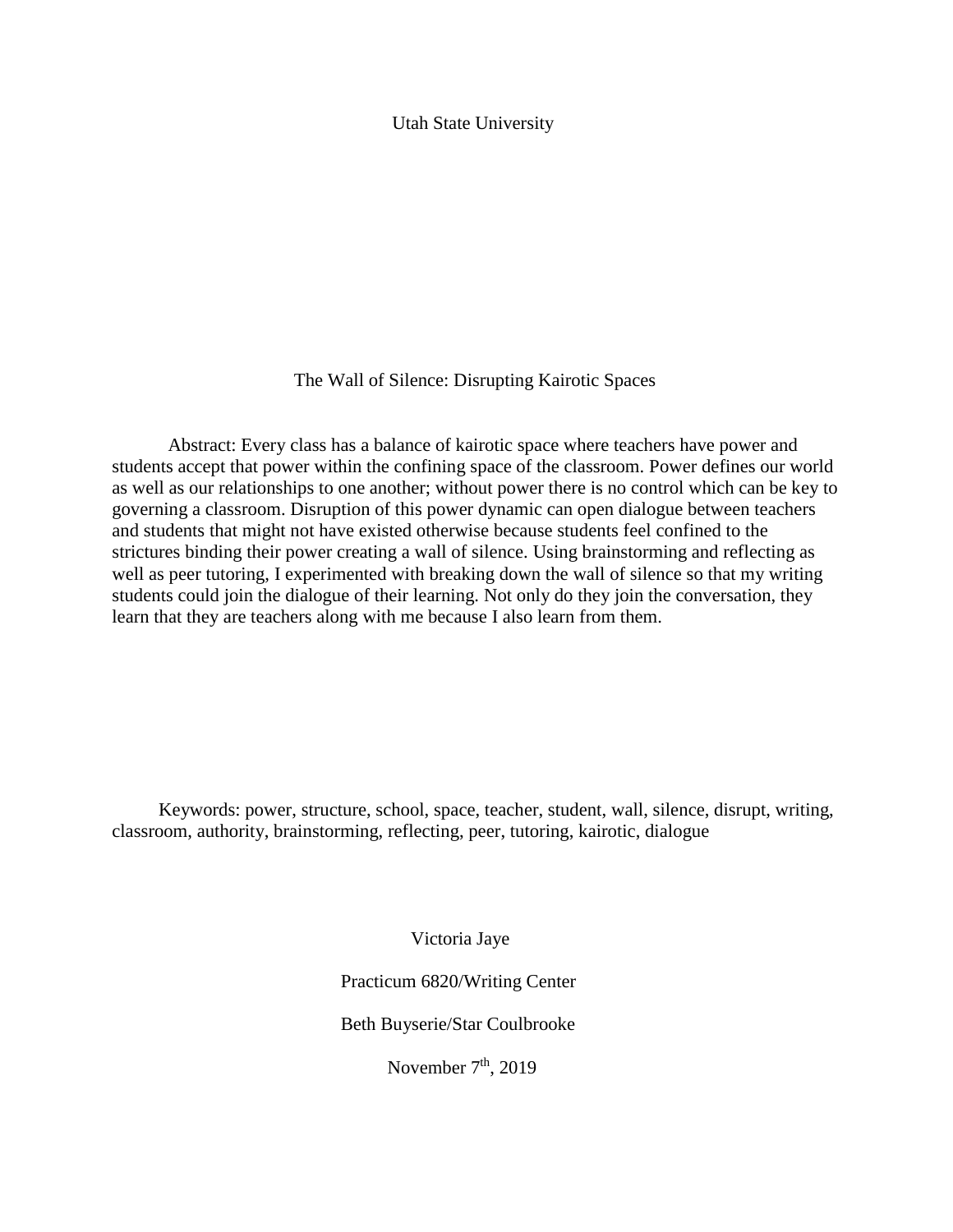# Utah State University

### The Wall of Silence: Disrupting Kairotic Spaces

Abstract: Every class has a balance of kairotic space where teachers have power and students accept that power within the confining space of the classroom. Power defines our world as well as our relationships to one another; without power there is no control which can be key to governing a classroom. Disruption of this power dynamic can open dialogue between teachers and students that might not have existed otherwise because students feel confined to the strictures binding their power creating a wall of silence. Using brainstorming and reflecting as well as peer tutoring, I experimented with breaking down the wall of silence so that my writing students could join the dialogue of their learning. Not only do they join the conversation, they learn that they are teachers along with me because I also learn from them.

 Keywords: power, structure, school, space, teacher, student, wall, silence, disrupt, writing, classroom, authority, brainstorming, reflecting, peer, tutoring, kairotic, dialogue

Victoria Jaye

Practicum 6820/Writing Center

Beth Buyserie/Star Coulbrooke

November  $7<sup>th</sup>$ , 2019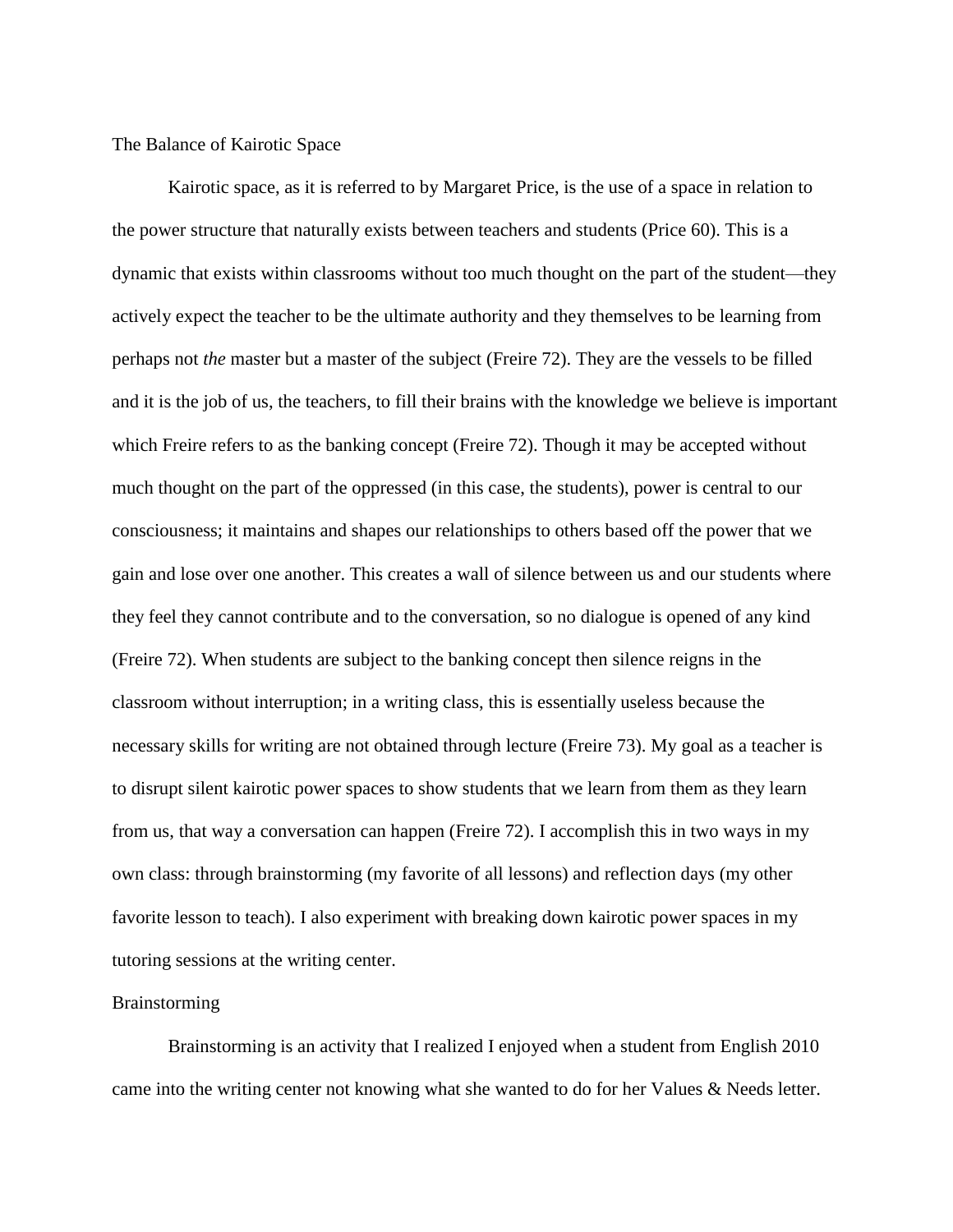The Balance of Kairotic Space

Kairotic space, as it is referred to by Margaret Price, is the use of a space in relation to the power structure that naturally exists between teachers and students (Price 60). This is a dynamic that exists within classrooms without too much thought on the part of the student—they actively expect the teacher to be the ultimate authority and they themselves to be learning from perhaps not *the* master but a master of the subject (Freire 72). They are the vessels to be filled and it is the job of us, the teachers, to fill their brains with the knowledge we believe is important which Freire refers to as the banking concept (Freire 72). Though it may be accepted without much thought on the part of the oppressed (in this case, the students), power is central to our consciousness; it maintains and shapes our relationships to others based off the power that we gain and lose over one another. This creates a wall of silence between us and our students where they feel they cannot contribute and to the conversation, so no dialogue is opened of any kind (Freire 72). When students are subject to the banking concept then silence reigns in the classroom without interruption; in a writing class, this is essentially useless because the necessary skills for writing are not obtained through lecture (Freire 73). My goal as a teacher is to disrupt silent kairotic power spaces to show students that we learn from them as they learn from us, that way a conversation can happen (Freire 72). I accomplish this in two ways in my own class: through brainstorming (my favorite of all lessons) and reflection days (my other favorite lesson to teach). I also experiment with breaking down kairotic power spaces in my tutoring sessions at the writing center.

# Brainstorming

Brainstorming is an activity that I realized I enjoyed when a student from English 2010 came into the writing center not knowing what she wanted to do for her Values & Needs letter.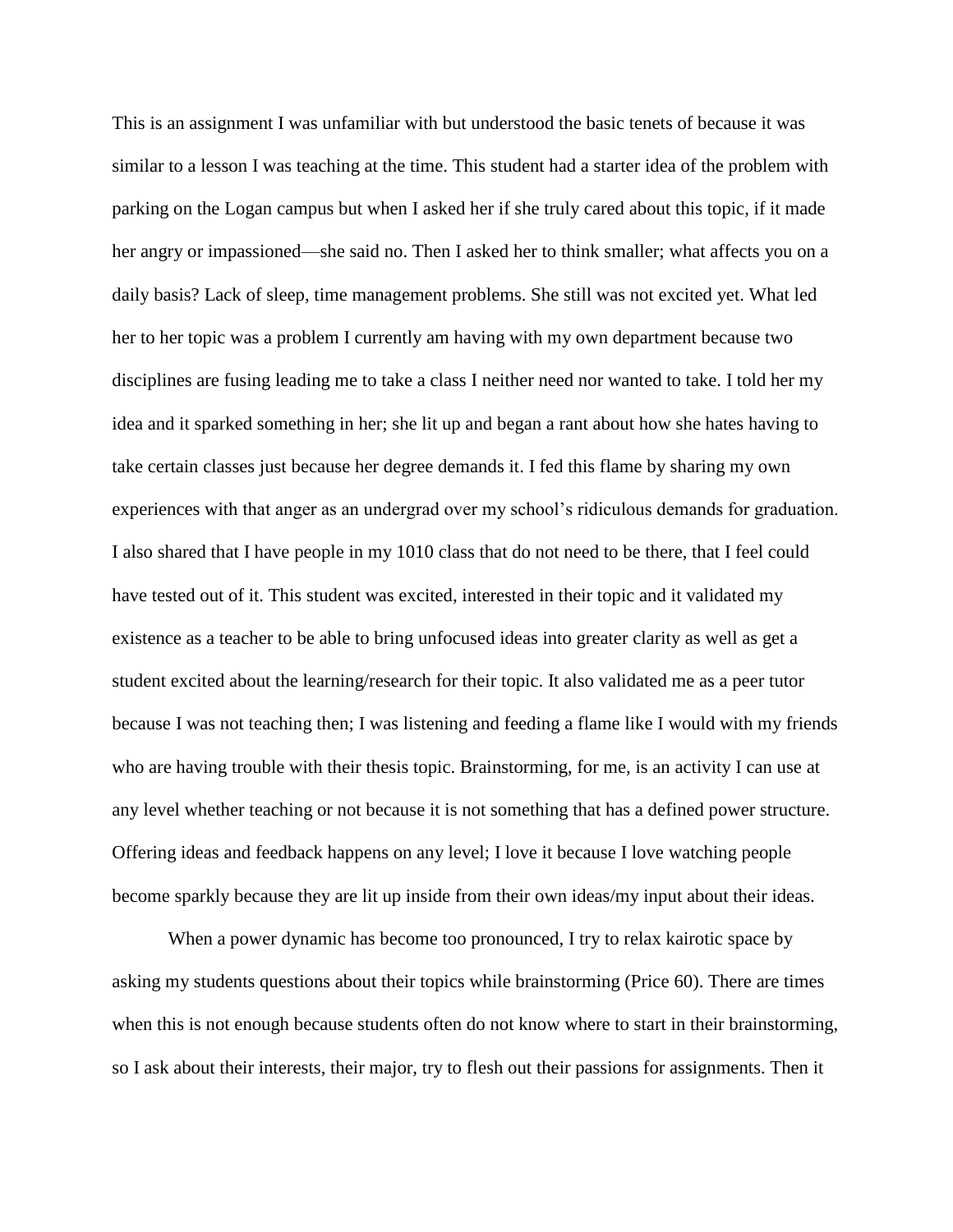This is an assignment I was unfamiliar with but understood the basic tenets of because it was similar to a lesson I was teaching at the time. This student had a starter idea of the problem with parking on the Logan campus but when I asked her if she truly cared about this topic, if it made her angry or impassioned—she said no. Then I asked her to think smaller; what affects you on a daily basis? Lack of sleep, time management problems. She still was not excited yet. What led her to her topic was a problem I currently am having with my own department because two disciplines are fusing leading me to take a class I neither need nor wanted to take. I told her my idea and it sparked something in her; she lit up and began a rant about how she hates having to take certain classes just because her degree demands it. I fed this flame by sharing my own experiences with that anger as an undergrad over my school's ridiculous demands for graduation. I also shared that I have people in my 1010 class that do not need to be there, that I feel could have tested out of it. This student was excited, interested in their topic and it validated my existence as a teacher to be able to bring unfocused ideas into greater clarity as well as get a student excited about the learning/research for their topic. It also validated me as a peer tutor because I was not teaching then; I was listening and feeding a flame like I would with my friends who are having trouble with their thesis topic. Brainstorming, for me, is an activity I can use at any level whether teaching or not because it is not something that has a defined power structure. Offering ideas and feedback happens on any level; I love it because I love watching people become sparkly because they are lit up inside from their own ideas/my input about their ideas.

When a power dynamic has become too pronounced, I try to relax kairotic space by asking my students questions about their topics while brainstorming (Price 60). There are times when this is not enough because students often do not know where to start in their brainstorming, so I ask about their interests, their major, try to flesh out their passions for assignments. Then it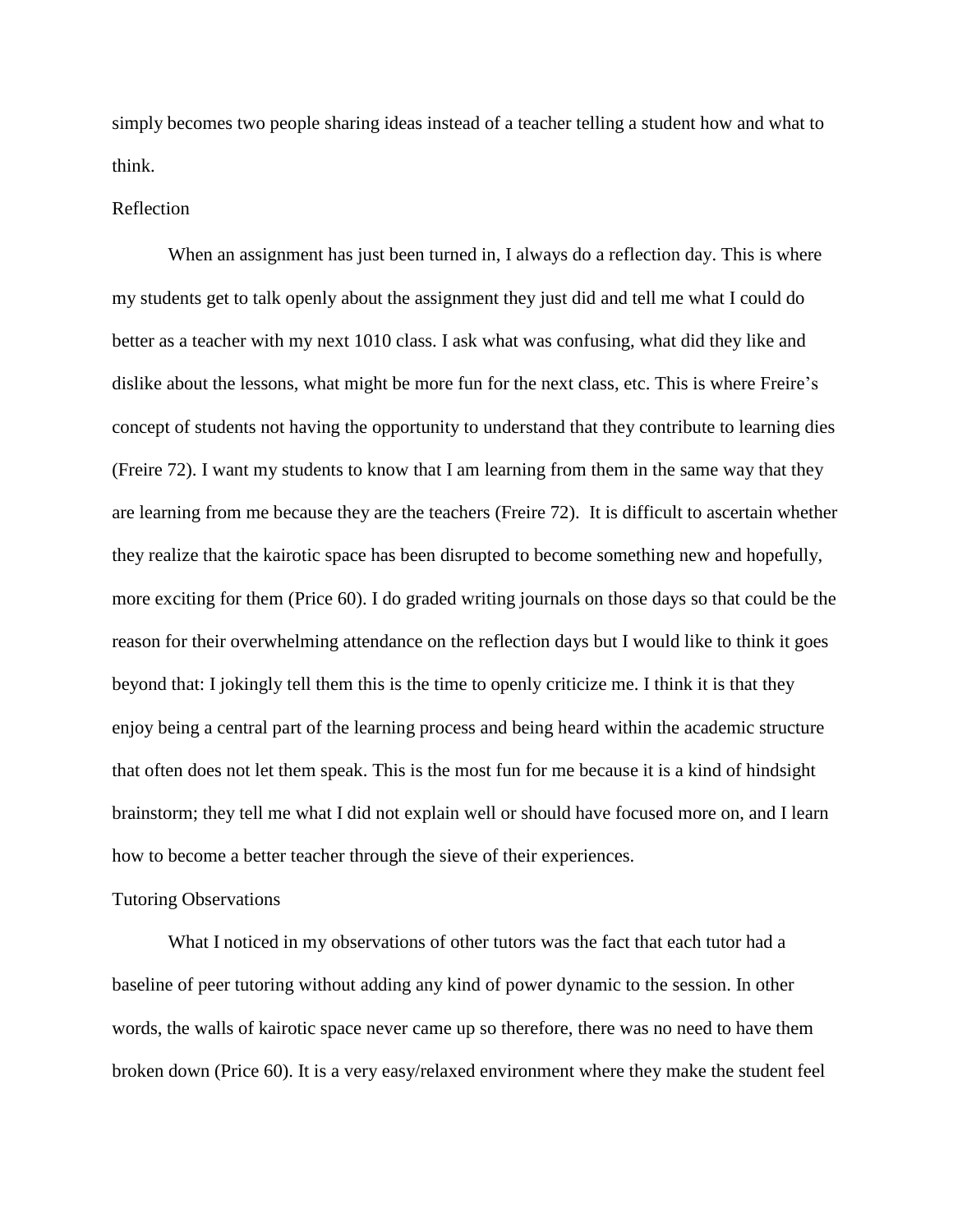simply becomes two people sharing ideas instead of a teacher telling a student how and what to think.

#### Reflection

When an assignment has just been turned in, I always do a reflection day. This is where my students get to talk openly about the assignment they just did and tell me what I could do better as a teacher with my next 1010 class. I ask what was confusing, what did they like and dislike about the lessons, what might be more fun for the next class, etc. This is where Freire's concept of students not having the opportunity to understand that they contribute to learning dies (Freire 72). I want my students to know that I am learning from them in the same way that they are learning from me because they are the teachers (Freire 72). It is difficult to ascertain whether they realize that the kairotic space has been disrupted to become something new and hopefully, more exciting for them (Price 60). I do graded writing journals on those days so that could be the reason for their overwhelming attendance on the reflection days but I would like to think it goes beyond that: I jokingly tell them this is the time to openly criticize me. I think it is that they enjoy being a central part of the learning process and being heard within the academic structure that often does not let them speak. This is the most fun for me because it is a kind of hindsight brainstorm; they tell me what I did not explain well or should have focused more on, and I learn how to become a better teacher through the sieve of their experiences.

#### Tutoring Observations

What I noticed in my observations of other tutors was the fact that each tutor had a baseline of peer tutoring without adding any kind of power dynamic to the session. In other words, the walls of kairotic space never came up so therefore, there was no need to have them broken down (Price 60). It is a very easy/relaxed environment where they make the student feel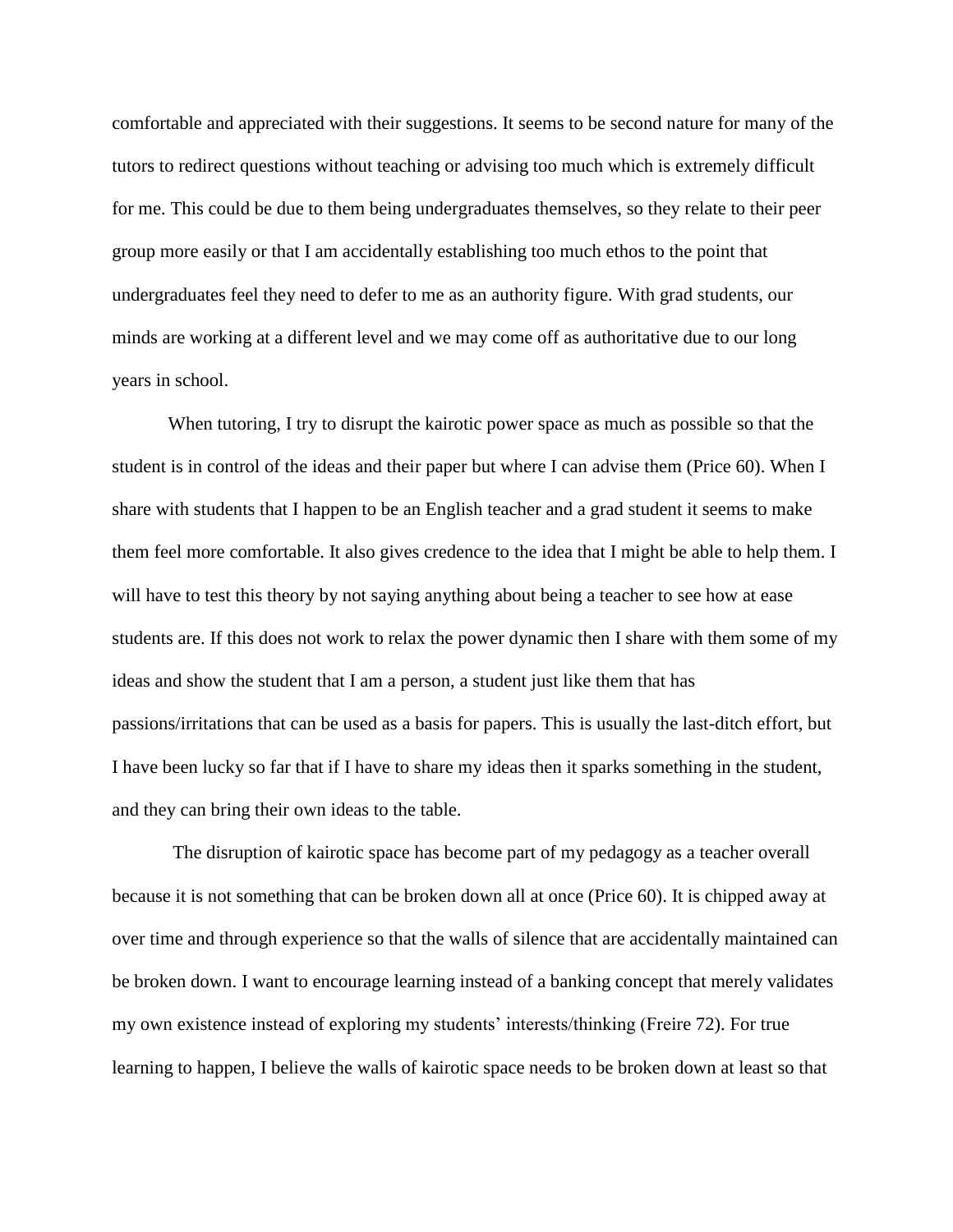comfortable and appreciated with their suggestions. It seems to be second nature for many of the tutors to redirect questions without teaching or advising too much which is extremely difficult for me. This could be due to them being undergraduates themselves, so they relate to their peer group more easily or that I am accidentally establishing too much ethos to the point that undergraduates feel they need to defer to me as an authority figure. With grad students, our minds are working at a different level and we may come off as authoritative due to our long years in school.

When tutoring, I try to disrupt the kairotic power space as much as possible so that the student is in control of the ideas and their paper but where I can advise them (Price 60). When I share with students that I happen to be an English teacher and a grad student it seems to make them feel more comfortable. It also gives credence to the idea that I might be able to help them. I will have to test this theory by not saying anything about being a teacher to see how at ease students are. If this does not work to relax the power dynamic then I share with them some of my ideas and show the student that I am a person, a student just like them that has passions/irritations that can be used as a basis for papers. This is usually the last-ditch effort, but I have been lucky so far that if I have to share my ideas then it sparks something in the student, and they can bring their own ideas to the table.

The disruption of kairotic space has become part of my pedagogy as a teacher overall because it is not something that can be broken down all at once (Price 60). It is chipped away at over time and through experience so that the walls of silence that are accidentally maintained can be broken down. I want to encourage learning instead of a banking concept that merely validates my own existence instead of exploring my students' interests/thinking (Freire 72). For true learning to happen, I believe the walls of kairotic space needs to be broken down at least so that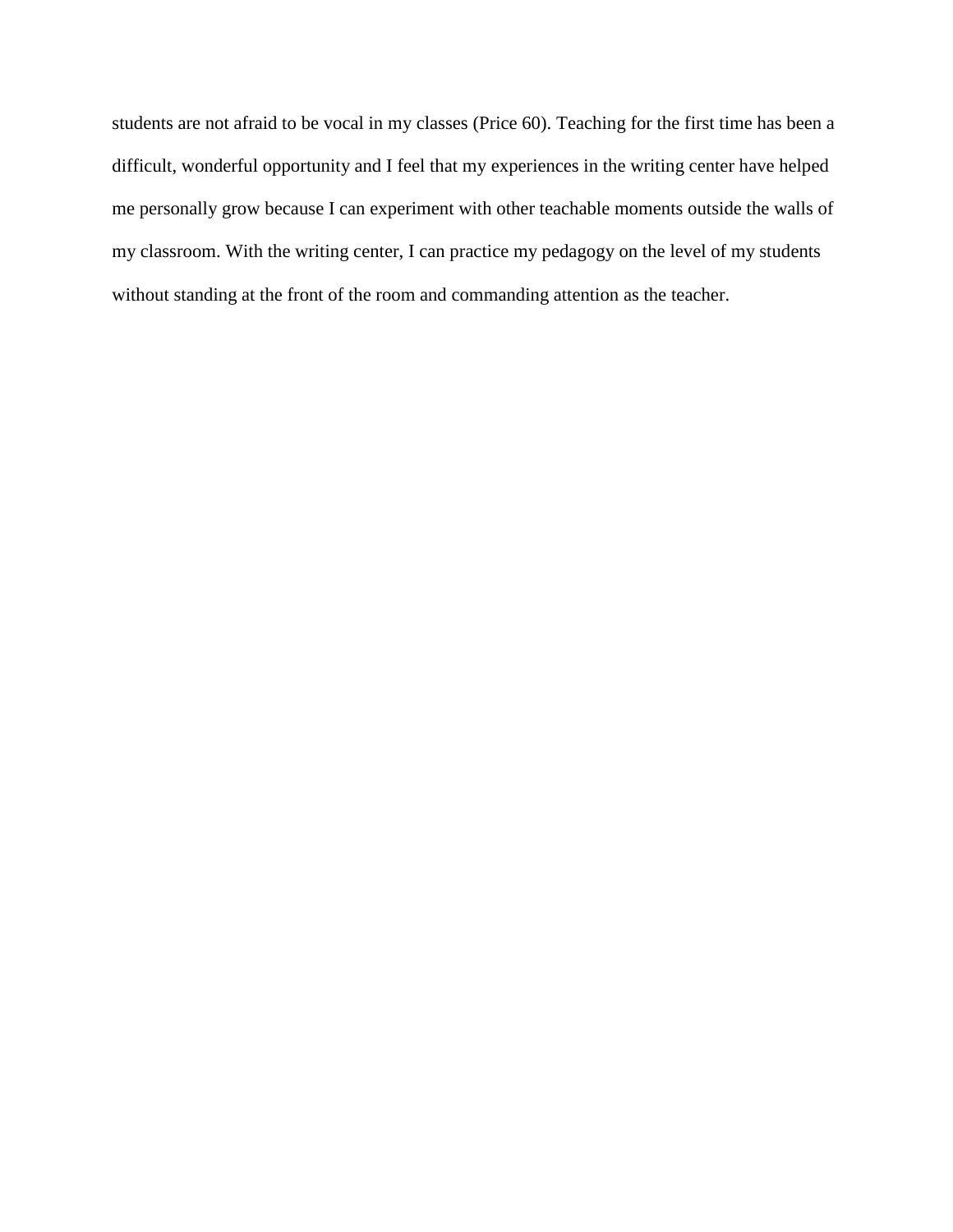students are not afraid to be vocal in my classes (Price 60). Teaching for the first time has been a difficult, wonderful opportunity and I feel that my experiences in the writing center have helped me personally grow because I can experiment with other teachable moments outside the walls of my classroom. With the writing center, I can practice my pedagogy on the level of my students without standing at the front of the room and commanding attention as the teacher.